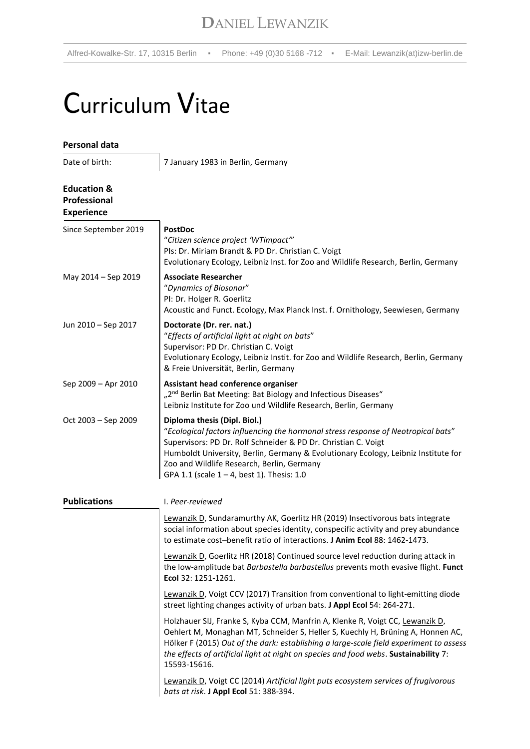Alfred-Kowalke-Str. 17, 10315 Berlin · Phone: +49 (0)30 5168 -712 · E-Mail: Lewanzik(at)izw-berlin.de

# Curriculum Vitae

| Personal data                                               |                                                                                                                                                                                                                                                                                                                                                                          |
|-------------------------------------------------------------|--------------------------------------------------------------------------------------------------------------------------------------------------------------------------------------------------------------------------------------------------------------------------------------------------------------------------------------------------------------------------|
| Date of birth:                                              | 7 January 1983 in Berlin, Germany                                                                                                                                                                                                                                                                                                                                        |
| <b>Education &amp;</b><br>Professional<br><b>Experience</b> |                                                                                                                                                                                                                                                                                                                                                                          |
| Since September 2019                                        | <b>PostDoc</b><br>"Citizen science project 'WTimpact'"<br>Pls: Dr. Miriam Brandt & PD Dr. Christian C. Voigt<br>Evolutionary Ecology, Leibniz Inst. for Zoo and Wildlife Research, Berlin, Germany                                                                                                                                                                       |
| May 2014 - Sep 2019                                         | <b>Associate Researcher</b><br>"Dynamics of Biosonar"<br>PI: Dr. Holger R. Goerlitz<br>Acoustic and Funct. Ecology, Max Planck Inst. f. Ornithology, Seewiesen, Germany                                                                                                                                                                                                  |
| Jun 2010 - Sep 2017                                         | Doctorate (Dr. rer. nat.)<br>"Effects of artificial light at night on bats"<br>Supervisor: PD Dr. Christian C. Voigt<br>Evolutionary Ecology, Leibniz Instit. for Zoo and Wildlife Research, Berlin, Germany<br>& Freie Universität, Berlin, Germany                                                                                                                     |
| Sep 2009 - Apr 2010                                         | Assistant head conference organiser<br>"2 <sup>nd</sup> Berlin Bat Meeting: Bat Biology and Infectious Diseases"<br>Leibniz Institute for Zoo und Wildlife Research, Berlin, Germany                                                                                                                                                                                     |
| Oct 2003 - Sep 2009                                         | Diploma thesis (Dipl. Biol.)<br>"Ecological factors influencing the hormonal stress response of Neotropical bats"<br>Supervisors: PD Dr. Rolf Schneider & PD Dr. Christian C. Voigt<br>Humboldt University, Berlin, Germany & Evolutionary Ecology, Leibniz Institute for<br>Zoo and Wildlife Research, Berlin, Germany<br>GPA 1.1 (scale $1 - 4$ , best 1). Thesis: 1.0 |
| <b>Publications</b>                                         | I. Peer-reviewed                                                                                                                                                                                                                                                                                                                                                         |
|                                                             | Lewanzik D, Sundaramurthy AK, Goerlitz HR (2019) Insectivorous bats integrate<br>social information about species identity, conspecific activity and prey abundance<br>to estimate cost-benefit ratio of interactions. J Anim Ecol 88: 1462-1473.                                                                                                                        |
|                                                             | Lewanzik D, Goerlitz HR (2018) Continued source level reduction during attack in<br>the low-amplitude bat Barbastella barbastellus prevents moth evasive flight. Funct<br>Ecol 32: 1251-1261.                                                                                                                                                                            |
|                                                             | Lewanzik D, Voigt CCV (2017) Transition from conventional to light-emitting diode<br>street lighting changes activity of urban bats. J Appl Ecol 54: 264-271.                                                                                                                                                                                                            |
|                                                             | Holzhauer SIJ, Franke S, Kyba CCM, Manfrin A, Klenke R, Voigt CC, Lewanzik D,<br>Oehlert M, Monaghan MT, Schneider S, Heller S, Kuechly H, Brüning A, Honnen AC,<br>Hölker F (2015) Out of the dark: establishing a large-scale field experiment to assess<br>the effects of artificial light at night on species and food webs. Sustainability 7:<br>15593-15616.       |
|                                                             | Lewanzik D, Voigt CC (2014) Artificial light puts ecosystem services of frugivorous<br>bats at risk. J Appl Ecol 51: 388-394.                                                                                                                                                                                                                                            |